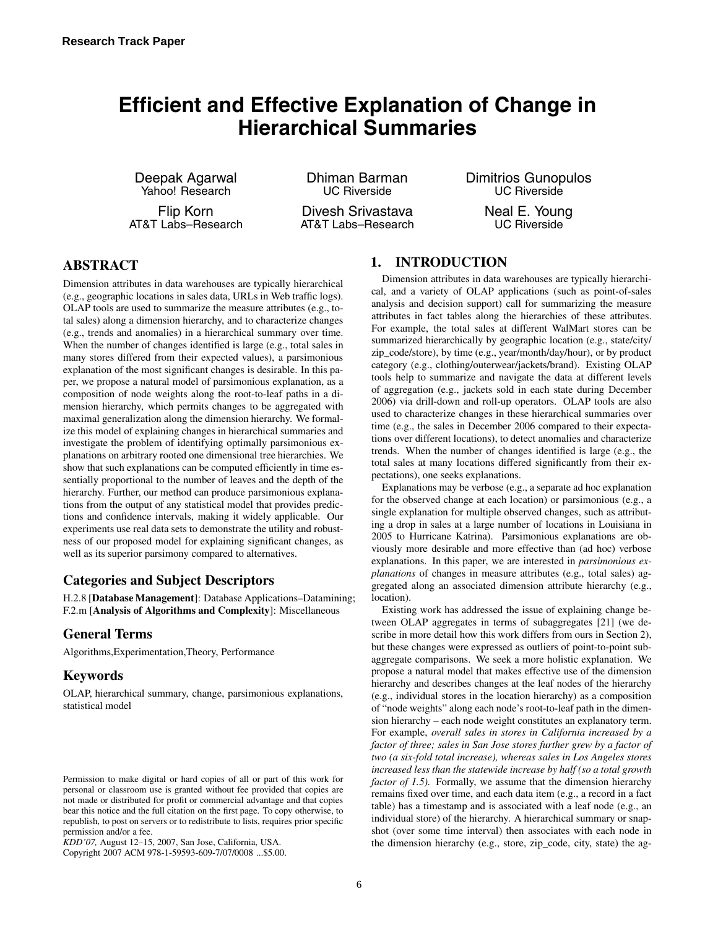# **Efficient and Effective Explanation of Change in Hierarchical Summaries**

Deepak Agarwal Yahoo! Research

Flip Korn AT&T Labs–Research Dhiman Barman UC Riverside

Divesh Srivastava AT&T Labs–Research Dimitrios Gunopulos UC Riverside

> Neal E. Young UC Riverside

# **ABSTRACT**

Dimension attributes in data warehouses are typically hierarchical (e.g., geographic locations in sales data, URLs in Web traffic logs). OLAP tools are used to summarize the measure attributes (e.g., total sales) along a dimension hierarchy, and to characterize changes (e.g., trends and anomalies) in a hierarchical summary over time. When the number of changes identified is large (e.g., total sales in many stores differed from their expected values), a parsimonious explanation of the most significant changes is desirable. In this paper, we propose a natural model of parsimonious explanation, as a composition of node weights along the root-to-leaf paths in a dimension hierarchy, which permits changes to be aggregated with maximal generalization along the dimension hierarchy. We formalize this model of explaining changes in hierarchical summaries and investigate the problem of identifying optimally parsimonious explanations on arbitrary rooted one dimensional tree hierarchies. We show that such explanations can be computed efficiently in time essentially proportional to the number of leaves and the depth of the hierarchy. Further, our method can produce parsimonious explanations from the output of any statistical model that provides predictions and confidence intervals, making it widely applicable. Our experiments use real data sets to demonstrate the utility and robustness of our proposed model for explaining significant changes, as well as its superior parsimony compared to alternatives.

## **Categories and Subject Descriptors**

H.2.8 [**Database Management**]: Database Applications–Datamining; F.2.m [**Analysis of Algorithms and Complexity**]: Miscellaneous

# **General Terms**

Algorithms,Experimentation,Theory, Performance

# **Keywords**

OLAP, hierarchical summary, change, parsimonious explanations, statistical model

*KDD'07,* August 12–15, 2007, San Jose, California, USA.

Copyright 2007 ACM 978-1-59593-609-7/07/0008 ...\$5.00.

## **1. INTRODUCTION**

Dimension attributes in data warehouses are typically hierarchical, and a variety of OLAP applications (such as point-of-sales analysis and decision support) call for summarizing the measure attributes in fact tables along the hierarchies of these attributes. For example, the total sales at different WalMart stores can be summarized hierarchically by geographic location (e.g., state/city/ zip\_code/store), by time (e.g., year/month/day/hour), or by product category (e.g., clothing/outerwear/jackets/brand). Existing OLAP tools help to summarize and navigate the data at different levels of aggregation (e.g., jackets sold in each state during December 2006) via drill-down and roll-up operators. OLAP tools are also used to characterize changes in these hierarchical summaries over time (e.g., the sales in December 2006 compared to their expectations over different locations), to detect anomalies and characterize trends. When the number of changes identified is large (e.g., the total sales at many locations differed significantly from their expectations), one seeks explanations.

Explanations may be verbose (e.g., a separate ad hoc explanation for the observed change at each location) or parsimonious (e.g., a single explanation for multiple observed changes, such as attributing a drop in sales at a large number of locations in Louisiana in 2005 to Hurricane Katrina). Parsimonious explanations are obviously more desirable and more effective than (ad hoc) verbose explanations. In this paper, we are interested in *parsimonious explanations* of changes in measure attributes (e.g., total sales) aggregated along an associated dimension attribute hierarchy (e.g., location).

Existing work has addressed the issue of explaining change between OLAP aggregates in terms of subaggregates [21] (we describe in more detail how this work differs from ours in Section 2), but these changes were expressed as outliers of point-to-point subaggregate comparisons. We seek a more holistic explanation. We propose a natural model that makes effective use of the dimension hierarchy and describes changes at the leaf nodes of the hierarchy (e.g., individual stores in the location hierarchy) as a composition of "node weights" along each node's root-to-leaf path in the dimension hierarchy – each node weight constitutes an explanatory term. For example, *overall sales in stores in California increased by a factor of three; sales in San Jose stores further grew by a factor of two (a six-fold total increase), whereas sales in Los Angeles stores increased less than the statewide increase by half (so a total growth factor of 1.5).* Formally, we assume that the dimension hierarchy remains fixed over time, and each data item (e.g., a record in a fact table) has a timestamp and is associated with a leaf node (e.g., an individual store) of the hierarchy. A hierarchical summary or snapshot (over some time interval) then associates with each node in the dimension hierarchy (e.g., store, zip\_code, city, state) the ag-

6

Permission to make digital or hard copies of all or part of this work for personal or classroom use is granted without fee provided that copies are not made or distributed for profit or commercial advantage and that copies bear this notice and the full citation on the first page. To copy otherwise, to republish, to post on servers or to redistribute to lists, requires prior specific permission and/or a fee.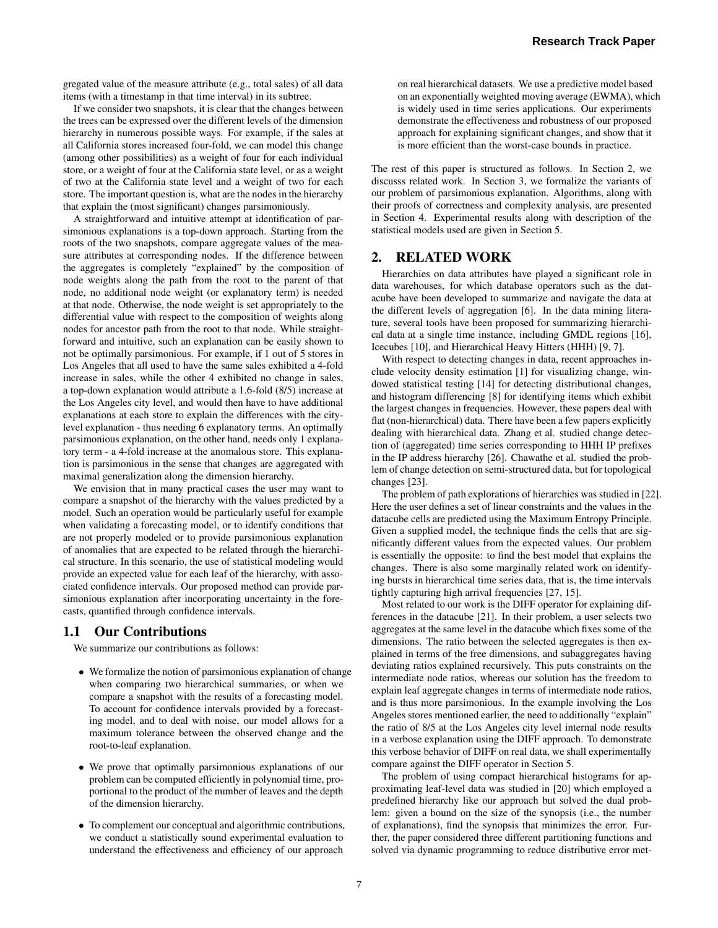gregated value of the measure attribute (e.g., total sales) of all data items (with a timestamp in that time interval) in its subtree.

If we consider two snapshots, it is clear that the changes between the trees can be expressed over the different levels of the dimension hierarchy in numerous possible ways. For example, if the sales at all California stores increased four-fold, we can model this change (among other possibilities) as a weight of four for each individual store, or a weight of four at the California state level, or as a weight of two at the California state level and a weight of two for each store. The important question is, what are the nodes in the hierarchy that explain the (most significant) changes parsimoniously.

A straightforward and intuitive attempt at identification of parsimonious explanations is a top-down approach. Starting from the roots of the two snapshots, compare aggregate values of the measure attributes at corresponding nodes. If the difference between the aggregates is completely "explained" by the composition of node weights along the path from the root to the parent of that node, no additional node weight (or explanatory term) is needed at that node. Otherwise, the node weight is set appropriately to the differential value with respect to the composition of weights along nodes for ancestor path from the root to that node. While straightforward and intuitive, such an explanation can be easily shown to not be optimally parsimonious. For example, if 1 out of 5 stores in Los Angeles that all used to have the same sales exhibited a 4-fold increase in sales, while the other 4 exhibited no change in sales, a top-down explanation would attribute a 1.6-fold (8/5) increase at the Los Angeles city level, and would then have to have additional explanations at each store to explain the differences with the citylevel explanation - thus needing 6 explanatory terms. An optimally parsimonious explanation, on the other hand, needs only 1 explanatory term - a 4-fold increase at the anomalous store. This explanation is parsimonious in the sense that changes are aggregated with maximal generalization along the dimension hierarchy.

We envision that in many practical cases the user may want to compare a snapshot of the hierarchy with the values predicted by a model. Such an operation would be particularly useful for example when validating a forecasting model, or to identify conditions that are not properly modeled or to provide parsimonious explanation of anomalies that are expected to be related through the hierarchical structure. In this scenario, the use of statistical modeling would provide an expected value for each leaf of the hierarchy, with associated confidence intervals. Our proposed method can provide parsimonious explanation after incorporating uncertainty in the forecasts, quantified through confidence intervals.

# **1.1 Our Contributions**

We summarize our contributions as follows:

- We formalize the notion of parsimonious explanation of change when comparing two hierarchical summaries, or when we compare a snapshot with the results of a forecasting model. To account for confidence intervals provided by a forecasting model, and to deal with noise, our model allows for a maximum tolerance between the observed change and the root-to-leaf explanation.
- We prove that optimally parsimonious explanations of our problem can be computed efficiently in polynomial time, proportional to the product of the number of leaves and the depth of the dimension hierarchy.
- To complement our conceptual and algorithmic contributions, we conduct a statistically sound experimental evaluation to understand the effectiveness and efficiency of our approach

on real hierarchical datasets. We use a predictive model based on an exponentially weighted moving average (EWMA), which is widely used in time series applications. Our experiments demonstrate the effectiveness and robustness of our proposed approach for explaining significant changes, and show that it is more efficient than the worst-case bounds in practice.

The rest of this paper is structured as follows. In Section 2, we discusss related work. In Section 3, we formalize the variants of our problem of parsimonious explanation. Algorithms, along with their proofs of correctness and complexity analysis, are presented in Section 4. Experimental results along with description of the statistical models used are given in Section 5.

# **2. RELATED WORK**

Hierarchies on data attributes have played a significant role in data warehouses, for which database operators such as the datacube have been developed to summarize and navigate the data at the different levels of aggregation [6]. In the data mining literature, several tools have been proposed for summarizing hierarchical data at a single time instance, including GMDL regions [16], Icecubes [10], and Hierarchical Heavy Hitters (HHH) [9, 7].

With respect to detecting changes in data, recent approaches include velocity density estimation [1] for visualizing change, windowed statistical testing [14] for detecting distributional changes, and histogram differencing [8] for identifying items which exhibit the largest changes in frequencies. However, these papers deal with flat (non-hierarchical) data. There have been a few papers explicitly dealing with hierarchical data. Zhang et al. studied change detection of (aggregated) time series corresponding to HHH IP prefixes in the IP address hierarchy [26]. Chawathe et al. studied the problem of change detection on semi-structured data, but for topological changes [23].

The problem of path explorations of hierarchies was studied in [22]. Here the user defines a set of linear constraints and the values in the datacube cells are predicted using the Maximum Entropy Principle. Given a supplied model, the technique finds the cells that are significantly different values from the expected values. Our problem is essentially the opposite: to find the best model that explains the changes. There is also some marginally related work on identifying bursts in hierarchical time series data, that is, the time intervals tightly capturing high arrival frequencies [27, 15].

Most related to our work is the DIFF operator for explaining differences in the datacube [21]. In their problem, a user selects two aggregates at the same level in the datacube which fixes some of the dimensions. The ratio between the selected aggregates is then explained in terms of the free dimensions, and subaggregates having deviating ratios explained recursively. This puts constraints on the intermediate node ratios, whereas our solution has the freedom to explain leaf aggregate changes in terms of intermediate node ratios, and is thus more parsimonious. In the example involving the Los Angeles stores mentioned earlier, the need to additionally "explain" the ratio of 8/5 at the Los Angeles city level internal node results in a verbose explanation using the DIFF approach. To demonstrate this verbose behavior of DIFF on real data, we shall experimentally compare against the DIFF operator in Section 5.

The problem of using compact hierarchical histograms for approximating leaf-level data was studied in [20] which employed a predefined hierarchy like our approach but solved the dual problem: given a bound on the size of the synopsis (i.e., the number of explanations), find the synopsis that minimizes the error. Further, the paper considered three different partitioning functions and solved via dynamic programming to reduce distributive error met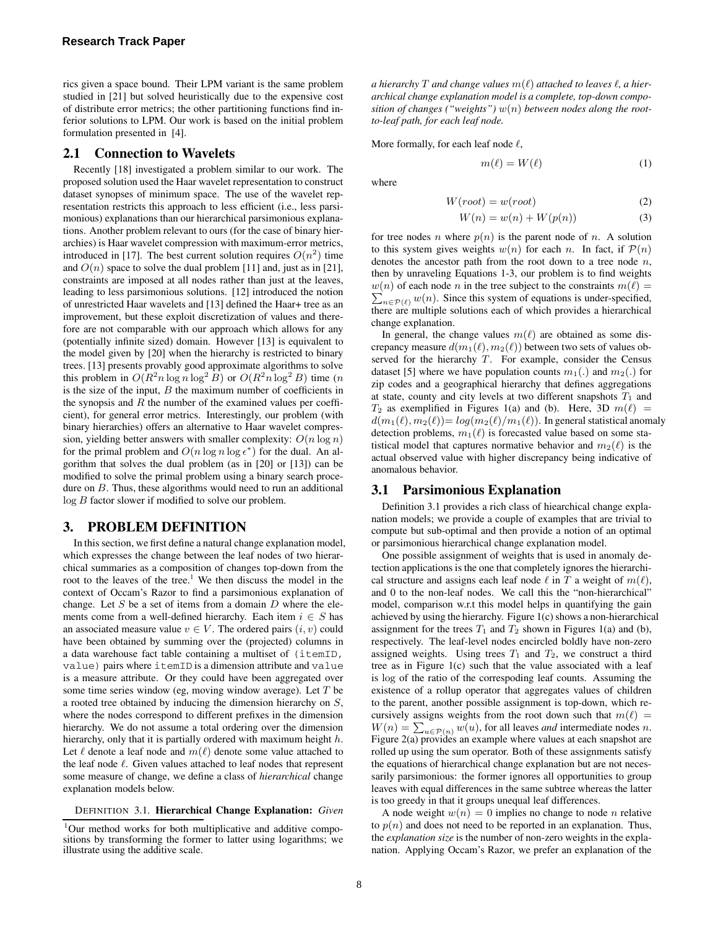rics given a space bound. Their LPM variant is the same problem studied in [21] but solved heuristically due to the expensive cost of distribute error metrics; the other partitioning functions find inferior solutions to LPM. Our work is based on the initial problem formulation presented in [4].

#### **2.1 Connection to Wavelets**

Recently [18] investigated a problem similar to our work. The proposed solution used the Haar wavelet representation to construct dataset synopses of minimum space. The use of the wavelet representation restricts this approach to less efficient (i.e., less parsimonious) explanations than our hierarchical parsimonious explanations. Another problem relevant to ours (for the case of binary hierarchies) is Haar wavelet compression with maximum-error metrics, introduced in [17]. The best current solution requires  $O(n^2)$  time and  $O(n)$  space to solve the dual problem [11] and, just as in [21], constraints are imposed at all nodes rather than just at the leaves, leading to less parsimonious solutions. [12] introduced the notion of unrestricted Haar wavelets and [13] defined the Haar+ tree as an improvement, but these exploit discretization of values and therefore are not comparable with our approach which allows for any (potentially infinite sized) domain. However [13] is equivalent to the model given by [20] when the hierarchy is restricted to binary trees. [13] presents provably good approximate algorithms to solve this problem in  $O(R^2 n \log n \log^2 B)$  or  $O(R^2 n \log^2 B)$  time (n is the size of the input,  $B$  the maximum number of coefficients in the synopsis and  $R$  the number of the examined values per coefficient), for general error metrics. Interestingly, our problem (with binary hierarchies) offers an alternative to Haar wavelet compression, yielding better answers with smaller complexity:  $O(n \log n)$ for the primal problem and  $O(n \log n \log \epsilon^*)$  for the dual. An algorithm that solves the dual problem (as in [20] or [13]) can be modified to solve the primal problem using a binary search procedure on B. Thus, these algorithms would need to run an additional log B factor slower if modified to solve our problem.

# **3. PROBLEM DEFINITION**

In this section, we first define a natural change explanation model, which expresses the change between the leaf nodes of two hierarchical summaries as a composition of changes top-down from the root to the leaves of the tree.<sup>1</sup> We then discuss the model in the context of Occam's Razor to find a parsimonious explanation of change. Let  $S$  be a set of items from a domain  $D$  where the elements come from a well-defined hierarchy. Each item  $i \in S$  has an associated measure value  $v \in V$ . The ordered pairs  $(i, v)$  could have been obtained by summing over the (projected) columns in a data warehouse fact table containing a multiset of (itemID, value) pairs where itemID is a dimension attribute and value is a measure attribute. Or they could have been aggregated over some time series window (eg, moving window average). Let  $T$  be a rooted tree obtained by inducing the dimension hierarchy on S, where the nodes correspond to different prefixes in the dimension hierarchy. We do not assume a total ordering over the dimension hierarchy, only that it is partially ordered with maximum height h. Let  $\ell$  denote a leaf node and  $m(\ell)$  denote some value attached to the leaf node  $\ell$ . Given values attached to leaf nodes that represent some measure of change, we define a class of *hierarchical* change explanation models below.

DEFINITION 3.1. **Hierarchical Change Explanation:** *Given*

*a hierarchy*  $T$  *and change values*  $m(\ell)$  *attached to leaves*  $\ell$ *, a hierarchical change explanation model is a complete, top-down composition of changes ("weights")* w(n) *between nodes along the rootto-leaf path, for each leaf node.*

More formally, for each leaf node  $\ell$ ,

$$
m(\ell) = W(\ell) \tag{1}
$$

where

$$
W(root) = w(root)
$$
 (2)

$$
W(n) = w(n) + W(p(n))
$$
\n(3)

for tree nodes *n* where  $p(n)$  is the parent node of *n*. A solution to this system gives weights  $w(n)$  for each n. In fact, if  $P(n)$ denotes the ancestor path from the root down to a tree node  $n$ , then by unraveling Equations 1-3, our problem is to find weights  $w(n)$  of each node n in the tree subject to the constraints  $m(\ell) =$  $\sum_{n \in \mathcal{P}(\ell)} w(n)$ . Since this system of equations is under-specified, there are multiple solutions each of which provides a bierarchical there are multiple solutions each of which provides a hierarchical change explanation.

In general, the change values  $m(\ell)$  are obtained as some discrepancy measure  $d(m_1(\ell), m_2(\ell))$  between two sets of values observed for the hierarchy T. For example, consider the Census dataset [5] where we have population counts  $m_1(.)$  and  $m_2(.)$  for zip codes and a geographical hierarchy that defines aggregations at state, county and city levels at two different snapshots  $T_1$  and  $T_2$  as exemplified in Figures 1(a) and (b). Here, 3D  $m(\ell)$  =  $d(m_1(\ell), m_2(\ell)) = log(m_2(\ell)/m_1(\ell))$ . In general statistical anomaly detection problems,  $m_1(\ell)$  is forecasted value based on some statistical model that captures normative behavior and  $m_2(\ell)$  is the actual observed value with higher discrepancy being indicative of anomalous behavior.

#### **3.1 Parsimonious Explanation**

Definition 3.1 provides a rich class of hiearchical change explanation models; we provide a couple of examples that are trivial to compute but sub-optimal and then provide a notion of an optimal or parsimonious hierarchical change explanation model.

One possible assignment of weights that is used in anomaly detection applications is the one that completely ignores the hierarchical structure and assigns each leaf node  $\ell$  in T a weight of  $m(\ell)$ , and 0 to the non-leaf nodes. We call this the "non-hierarchical" model, comparison w.r.t this model helps in quantifying the gain achieved by using the hierarchy. Figure 1(c) shows a non-hierarchical assignment for the trees  $T_1$  and  $T_2$  shown in Figures 1(a) and (b), respectively. The leaf-level nodes encircled boldly have non-zero assigned weights. Using trees  $T_1$  and  $T_2$ , we construct a third tree as in Figure 1(c) such that the value associated with a leaf is log of the ratio of the correspoding leaf counts. Assuming the existence of a rollup operator that aggregates values of children to the parent, another possible assignment is top-down, which recursively assigns weights from the root down such that  $m(\ell)$  =  $W(n) = \sum_{u \in \mathcal{P}(n)} w(u)$ , for all leaves *and* intermediate nodes *n*.<br>Figure 2(a) provides an example where values at each spanshot are Figure 2(a) provides an example where values at each snapshot are rolled up using the sum operator. Both of these assignments satisfy the equations of hierarchical change explanation but are not necessarily parsimonious: the former ignores all opportunities to group leaves with equal differences in the same subtree whereas the latter is too greedy in that it groups unequal leaf differences.

A node weight  $w(n)=0$  implies no change to node n relative to  $p(n)$  and does not need to be reported in an explanation. Thus, the *explanation size* is the number of non-zero weights in the explanation. Applying Occam's Razor, we prefer an explanation of the

<sup>&</sup>lt;sup>1</sup>Our method works for both multiplicative and additive compositions by transforming the former to latter using logarithms; we illustrate using the additive scale.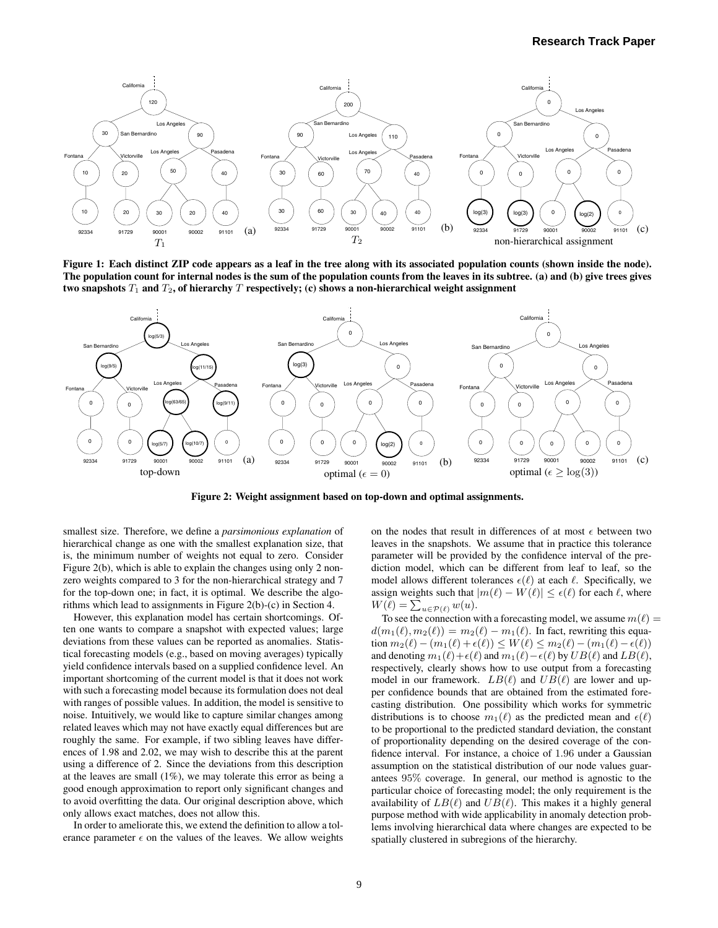

**Figure 1: Each distinct ZIP code appears as a leaf in the tree along with its associated population counts (shown inside the node). The population count for internal nodes is the sum of the population counts from the leaves in its subtree. (a) and (b) give trees gives** two snapshots  $T_1$  and  $T_2$ , of hierarchy  $T$  respectively; (c) shows a non-hierarchical weight assignment



**Figure 2: Weight assignment based on top-down and optimal assignments.**

smallest size. Therefore, we define a *parsimonious explanation* of hierarchical change as one with the smallest explanation size, that is, the minimum number of weights not equal to zero. Consider Figure 2(b), which is able to explain the changes using only 2 nonzero weights compared to 3 for the non-hierarchical strategy and 7 for the top-down one; in fact, it is optimal. We describe the algorithms which lead to assignments in Figure 2(b)-(c) in Section 4.

However, this explanation model has certain shortcomings. Often one wants to compare a snapshot with expected values; large deviations from these values can be reported as anomalies. Statistical forecasting models (e.g., based on moving averages) typically yield confidence intervals based on a supplied confidence level. An important shortcoming of the current model is that it does not work with such a forecasting model because its formulation does not deal with ranges of possible values. In addition, the model is sensitive to noise. Intuitively, we would like to capture similar changes among related leaves which may not have exactly equal differences but are roughly the same. For example, if two sibling leaves have differences of 1.98 and 2.02, we may wish to describe this at the parent using a difference of 2. Since the deviations from this description at the leaves are small (1%), we may tolerate this error as being a good enough approximation to report only significant changes and to avoid overfitting the data. Our original description above, which only allows exact matches, does not allow this.

In order to ameliorate this, we extend the definition to allow a tolerance parameter  $\epsilon$  on the values of the leaves. We allow weights

on the nodes that result in differences of at most  $\epsilon$  between two leaves in the snapshots. We assume that in practice this tolerance parameter will be provided by the confidence interval of the prediction model, which can be different from leaf to leaf, so the model allows different tolerances  $\epsilon(\ell)$  at each  $\ell$ . Specifically, we assign weights such that  $|m(\ell) - W(\ell)| \leq \epsilon(\ell)$  for each  $\ell$ , where  $W(\ell) = \sum_{u \in \mathcal{P}(\ell)} w(u).$ <br>To see the connection  $v$ 

To see the connection with a forecasting model, we assume  $m(\ell) =$  $d(m_1(\ell), m_2(\ell)) = m_2(\ell) - m_1(\ell)$ . In fact, rewriting this equation  $m_2(\ell) - (m_1(\ell) + \epsilon(\ell)) \leq W(\ell) \leq m_2(\ell) - (m_1(\ell) - \epsilon(\ell))$ and denoting  $m_1(\ell) + \epsilon(\ell)$  and  $m_1(\ell) - \epsilon(\ell)$  by  $UB(\ell)$  and  $LB(\ell)$ , respectively, clearly shows how to use output from a forecasting model in our framework.  $LB(\ell)$  and  $UB(\ell)$  are lower and upper confidence bounds that are obtained from the estimated forecasting distribution. One possibility which works for symmetric distributions is to choose  $m_1(\ell)$  as the predicted mean and  $\epsilon(\ell)$ to be proportional to the predicted standard deviation, the constant of proportionality depending on the desired coverage of the confidence interval. For instance, a choice of 1.96 under a Gaussian assumption on the statistical distribution of our node values guarantees 95% coverage. In general, our method is agnostic to the particular choice of forecasting model; the only requirement is the availability of  $LB(\ell)$  and  $UB(\ell)$ . This makes it a highly general purpose method with wide applicability in anomaly detection problems involving hierarchical data where changes are expected to be spatially clustered in subregions of the hierarchy.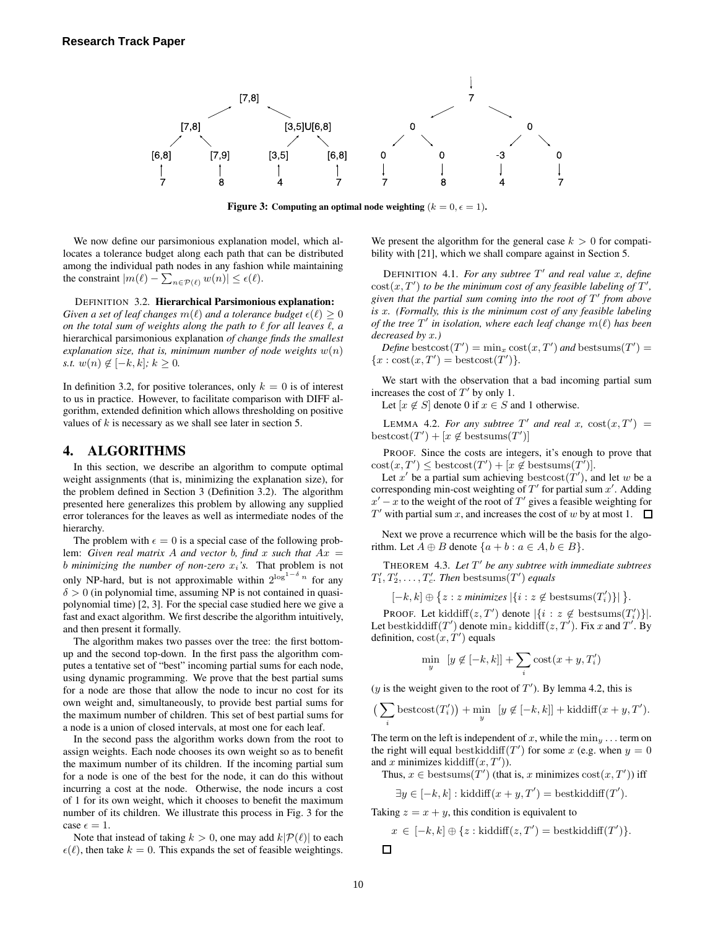

**Figure 3:** Computing an optimal node weighting  $(k = 0, \epsilon = 1)$ .

We now define our parsimonious explanation model, which allocates a tolerance budget along each path that can be distributed among the individual path nodes in any fashion while maintaining the constraint  $|m(\ell) - \sum_{n \in \mathcal{P}(\ell)} w(n)| \leq \epsilon(\ell)$ .

DEFINITION 3.2. **Hierarchical Parsimonious explanation:**

*Given a set of leaf changes*  $m(\ell)$  *and a tolerance budget*  $\epsilon(\ell) \geq 0$ *on the total sum of weights along the path to*  $\ell$  *for all leaves*  $\ell$ *, a* hierarchical parsimonious explanation *of change finds the smallest explanation size, that is, minimum number of node weights*  $w(n)$ *s.t.*  $w(n) \notin [-k, k]$ ;  $k \geq 0$ .

In definition 3.2, for positive tolerances, only  $k = 0$  is of interest to us in practice. However, to facilitate comparison with DIFF algorithm, extended definition which allows thresholding on positive values of  $k$  is necessary as we shall see later in section 5.

## **4. ALGORITHMS**

In this section, we describe an algorithm to compute optimal weight assignments (that is, minimizing the explanation size), for the problem defined in Section 3 (Definition 3.2). The algorithm presented here generalizes this problem by allowing any supplied error tolerances for the leaves as well as intermediate nodes of the hierarchy.

The problem with  $\epsilon = 0$  is a special case of the following problem: *Given real matrix* A *and vector* b, *find* x *such that*  $Ax =$ b *minimizing the number of non-zero*  $x_i$ 's. That problem is not only NP-hard, but is not approximable within  $2^{\log^{1-\delta} n}$  for any  $\delta > 0$  (in polynomial time, assuming NP is not contained in quasipolynomial time) [2, 3]. For the special case studied here we give a fast and exact algorithm. We first describe the algorithm intuitively, and then present it formally.

The algorithm makes two passes over the tree: the first bottomup and the second top-down. In the first pass the algorithm computes a tentative set of "best" incoming partial sums for each node, using dynamic programming. We prove that the best partial sums for a node are those that allow the node to incur no cost for its own weight and, simultaneously, to provide best partial sums for the maximum number of children. This set of best partial sums for a node is a union of closed intervals, at most one for each leaf.

In the second pass the algorithm works down from the root to assign weights. Each node chooses its own weight so as to benefit the maximum number of its children. If the incoming partial sum for a node is one of the best for the node, it can do this without incurring a cost at the node. Otherwise, the node incurs a cost of 1 for its own weight, which it chooses to benefit the maximum number of its children. We illustrate this process in Fig. 3 for the case  $\epsilon = 1$ .

Note that instead of taking  $k > 0$ , one may add  $k|\mathcal{P}(\ell)|$  to each  $\epsilon(\ell)$ , then take  $k = 0$ . This expands the set of feasible weightings.

We present the algorithm for the general case  $k > 0$  for compatibility with [21], which we shall compare against in Section 5.

DEFINITION 4.1. *For any subtree*  $T'$  *and real value x, define*  $\text{cost}(x, T')$  *to be the minimum cost of any feasible labeling of*  $T'$ *, given that the partial sum coming into the root of*  $T'$  *from above is* x*. (Formally, this is the minimum cost of any feasible labeling of the tree*  $T'$  *in isolation, where each leaf change*  $m(\ell)$  *has been decreased by* x*.)*

 $Define \, bestcost(T') = \min_x cost(x, T') \, and \, bestsum(T') =$  ${x : \text{cost}(x, T') = \text{bestcost}(T')}$ .

We start with the observation that a bad incoming partial sum increases the cost of  $T'$  by only 1.

Let  $[x \notin S]$  denote 0 if  $x \in S$  and 1 otherwise.

LEMMA 4.2. *For any subtree*  $T'$  *and real*  $x$ ,  $cost(x, T') =$ bestcost $(T') + [x \notin \text{bestsums}(T')]$ 

PROOF. Since the costs are integers, it's enough to prove that  $cost(x, T') \leq bestcost(T') + [x \notin bestsum(s(T'))].$ 

Let x' be a partial sum achieving bestcost $(T')$ , and let w be a corresponding min-cost weighting of  $T'$  for partial sum  $x'$ . Adding  $x' - x$  to the weight of the root of  $T'$  gives a feasible weighting for T' with partial sum x, and increases the cost of w by at most 1.  $\square$ 

Next we prove a recurrence which will be the basis for the algorithm. Let  $A \oplus B$  denote  $\{a + b : a \in A, b \in B\}$ .

THEOREM 4.3. Let  $T'$  be any subtree with immediate subtrees  $T'_1, T'_2, \ldots, T'_c$ . Then bestsums(T') equals

 $[-k, k] \oplus \{z : z \text{ minimizes } |\{i : z \not\in \text{bestsums}(T'_i)\}| \}.$ 

PROOF. Let kiddiff $(z, T')$  denote  $|\{i : z \notin \text{bestsum}(T'_i)\}|$ . Let bestkiddiff $(T')$  denote  $\min_z$  kiddiff $(z, T')$ . Fix x and T'. By definition,  $cost(x, T')$  equals

$$
\min_{y} \ [y \not\in [-k, k]] + \sum_{i} \text{cost}(x + y, T'_i)
$$

 $(y$  is the weight given to the root of  $T'$ ). By lemma 4.2, this is

$$
\left(\sum_{i}\text{bestcost}(T'_{i})\right) + \min_{y} \ [y \not\in [-k, k]] + \text{kiddiff}(x + y, T').
$$

The term on the left is independent of x, while the  $\min_{y} \dots$  term on the right will equal bestkiddiff $(T')$  for some x (e.g. when  $y = 0$ and x minimizes kiddiff $(x, T')$ ).

Thus,  $x \in$  bestsums(T') (that is, x minimizes  $cost(x, T')$ ) iff

 $\exists y \in [-k, k] : \text{kiddiff}(x + y, T') = \text{bestkiddiff}(T').$ 

Taking  $z = x + y$ , this condition is equivalent to

$$
x \in [-k, k] \oplus \{z : \text{kiddiff}(z, T') = \text{bestkiddiff}(T')\}.
$$

□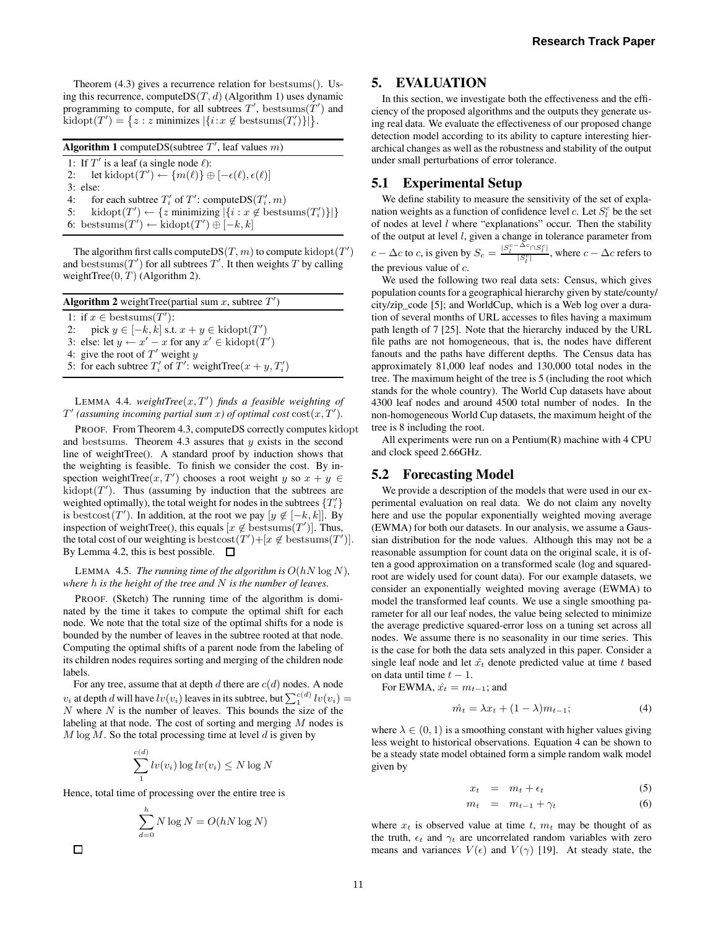Theorem (4.3) gives a recurrence relation for bestsums(). Using this recurrence, compute $DS(T, d)$  (Algorithm 1) uses dynamic programming to compute, for all subtrees  $T'$ , bestsums $(T')$  and  $\text{kidopt}(T') = \big\{ z : z \text{ minimizes } |\{i : x \notin \text{bestsums}(T'_i)\}| \big\}.$ 

**Algorithm 1** compute DS (subtree  $T'$ , leaf values  $m$ )

1: If  $T'$  is a leaf (a single node  $\ell$ ): 2: let kidopt $(T') \leftarrow \{m(\ell)\} \oplus [-\epsilon(\ell), \epsilon(\ell)]$ 3: else: 4: for each subtree  $T'_i$  of  $T'$ : compute  $DS(T'_i, m)$ 5: kidopt $(T') \leftarrow \{z \text{ minimizing } |\{i : x \notin \text{bestsums}(T'_i)\}|\}$ 6: bestsums $(T') \leftarrow \text{kidopt}(T') \oplus [-k, k]$ 

The algorithm first calls compute  $DS(T, m)$  to compute kidopt $(T')$ and bestsums $(T')$  for all subtrees  $T'$ . It then weights T by calling weightTree $(0, T)$  (Algorithm 2).

| <b>Algorithm 2</b> weightTree(partial sum x, subtree $T'$ )           |  |
|-----------------------------------------------------------------------|--|
| 1: if $x \in$ bestsums $(T')$ :                                       |  |
| 2: pick $y \in [-k, k]$ s.t. $x + y \in \text{kidopt}(T')$            |  |
| 3: else: let $y \leftarrow x' - x$ for any $x' \in \text{kidopt}(T')$ |  |
| 4: give the root of $T'$ weight y                                     |  |
| 5: for each subtree $T'_i$ of $T'$ : weightTree( $x + y, T'_i$ )      |  |
|                                                                       |  |

LEMMA 4.4. *weightTree*(x, T ) *finds a feasible weighting of*  $T'$  (assuming incoming partial sum x) of optimal cost  $cost(x, T')$ .

PROOF. From Theorem 4.3, computeDS correctly computes kidopt and bestsums. Theorem 4.3 assures that  $y$  exists in the second line of weightTree(). A standard proof by induction shows that the weighting is feasible. To finish we consider the cost. By inspection weightTree $(x, T')$  chooses a root weight y so  $x + y \in$ kidopt $(T')$ . Thus (assuming by induction that the subtrees are weighted optimally), the total weight for nodes in the subtrees  ${T'_{i}}$ is bestcost(T'). In addition, at the root we pay  $[y \notin [-k, k]]$ . By inspection of weightTree(), this equals  $[x \notin \text{bestsum}(T')]$ . Thus, the total cost of our weighting is bestcost $(T') + [x \notin \text{bestsums}(T')]$ . By Lemma 4.2, this is best possible.  $\Box$ 

LEMMA 4.5. *The running time of the algorithm is*  $O(hN \log N)$ *, where* h *is the height of the tree and* N *is the number of leaves.*

PROOF. (Sketch) The running time of the algorithm is dominated by the time it takes to compute the optimal shift for each node. We note that the total size of the optimal shifts for a node is bounded by the number of leaves in the subtree rooted at that node. Computing the optimal shifts of a parent node from the labeling of its children nodes requires sorting and merging of the children node labels.

For any tree, assume that at depth  $d$  there are  $c(d)$  nodes. A node  $v_i$  at depth d will have  $lv(v_i)$  leaves in its subtree, but  $\sum_{i=1}^{c(d)}lv(v_i) = N$  where N is the number of leaves. This bounds the size of the  $N$  where  $N$  is the number of leaves. This bounds the size of the labeling at that node. The cost of sorting and merging M nodes is  $M \log M$ . So the total processing time at level d is given by

$$
\sum_{1}^{c(d)}lv(v_i)\loglv(v_i)\leq N\log N
$$

Hence, total time of processing over the entire tree is

$$
\sum_{d=0}^{h} N \log N = O(hN \log N)
$$

#### **5. EVALUATION**

In this section, we investigate both the effectiveness and the efficiency of the proposed algorithms and the outputs they generate using real data. We evaluate the effectiveness of our proposed change detection model according to its ability to capture interesting hierarchical changes as well as the robustness and stability of the output under small perturbations of error tolerance.

## **5.1 Experimental Setup**

We define stability to measure the sensitivity of the set of explanation weights as a function of confidence level c. Let  $S_l^c$  be the set of nodes at level  $l$  where "explanations" occur. Then the stability of the output at level  $l$ , given a change in tolerance parameter from  $c - \Delta c$  to c, is given by  $S_c = \frac{|S_l^{c - \Delta c} \cap S_l^c|}{|S_l^c|}$ , where  $c - \Delta c$  refers to the previous value of c.

We used the following two real data sets: Census, which gives population counts for a geographical hierarchy given by state/county/ city/zip\_code [5]; and WorldCup, which is a Web log over a duration of several months of URL accesses to files having a maximum path length of 7 [25]. Note that the hierarchy induced by the URL file paths are not homogeneous, that is, the nodes have different fanouts and the paths have different depths. The Census data has approximately 81,000 leaf nodes and 130,000 total nodes in the tree. The maximum height of the tree is 5 (including the root which stands for the whole country). The World Cup datasets have about 4300 leaf nodes and around 4500 total number of nodes. In the non-homogeneous World Cup datasets, the maximum height of the tree is 8 including the root.

All experiments were run on a Pentium(R) machine with 4 CPU and clock speed 2.66GHz.

#### **5.2 Forecasting Model**

We provide a description of the models that were used in our experimental evaluation on real data. We do not claim any novelty here and use the popular exponentially weighted moving average (EWMA) for both our datasets. In our analysis, we assume a Gaussian distribution for the node values. Although this may not be a reasonable assumption for count data on the original scale, it is often a good approximation on a transformed scale (log and squaredroot are widely used for count data). For our example datasets, we consider an exponentially weighted moving average (EWMA) to model the transformed leaf counts. We use a single smoothing parameter for all our leaf nodes, the value being selected to minimize the average predictive squared-error loss on a tuning set across all nodes. We assume there is no seasonality in our time series. This is the case for both the data sets analyzed in this paper. Consider a single leaf node and let  $\hat{x_t}$  denote predicted value at time t based on data until time  $t - 1$ .

For EWMA,  $\hat{x_t} = m_{t-1}$  ; and

$$
\hat{m_t} = \lambda x_t + (1 - \lambda)m_{t-1};\tag{4}
$$

where  $\lambda \in (0, 1)$  is a smoothing constant with higher values giving less weight to historical observations. Equation 4 can be shown to be a steady state model obtained form a simple random walk model given by

$$
x_t = m_t + \epsilon_t \tag{5}
$$

$$
m_t = m_{t-1} + \gamma_t \tag{6}
$$

where  $x_t$  is observed value at time t,  $m_t$  may be thought of as the truth,  $\epsilon_t$  and  $\gamma_t$  are uncorrelated random variables with zero means and variances  $V(\epsilon)$  and  $V(\gamma)$  [19]. At steady state, the

 $\Box$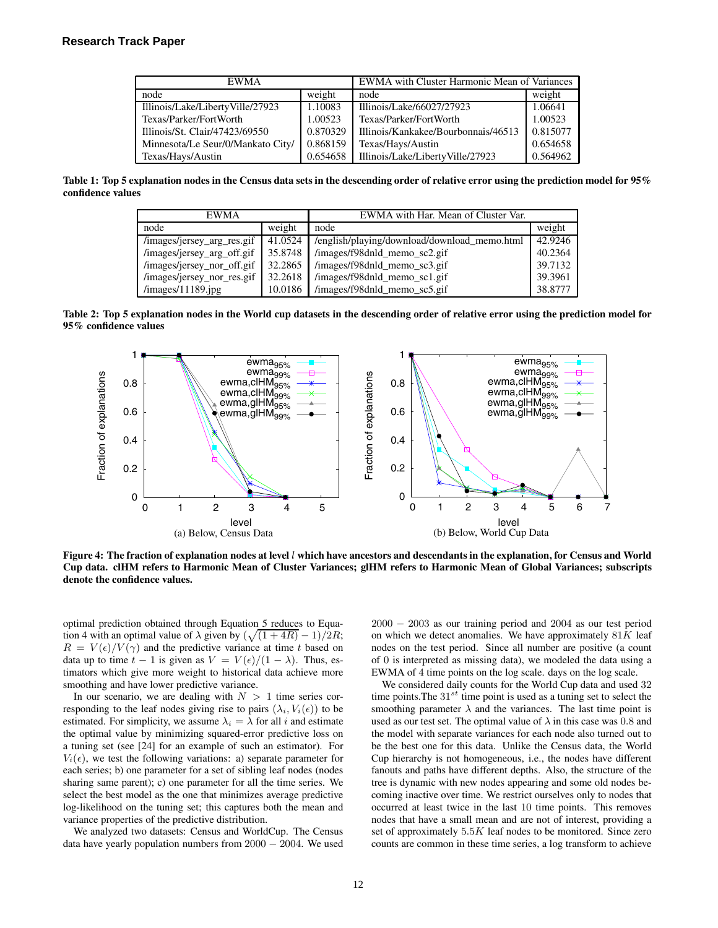| <b>EWMA</b>                       |          | EWMA with Cluster Harmonic Mean of Variances |          |  |
|-----------------------------------|----------|----------------------------------------------|----------|--|
| node                              | weight   | node                                         | weight   |  |
| Illinois/Lake/LibertyVille/27923  | 1.10083  | Illinois/Lake/66027/27923                    | 1.06641  |  |
| Texas/Parker/FortWorth            | 1.00523  | Texas/Parker/FortWorth                       | 1.00523  |  |
| Illinois/St. Clair/47423/69550    | 0.870329 | Illinois/Kankakee/Bourbonnais/46513          | 0.815077 |  |
| Minnesota/Le Seur/0/Mankato City/ | 0.868159 | Texas/Hays/Austin                            | 0.654658 |  |
| Texas/Hays/Austin                 | 0.654658 | Illinois/Lake/LibertyVille/27923             | 0.564962 |  |

**Table 1: Top 5 explanation nodes in the Census data sets in the descending order of relative error using the prediction model for 95% confidence values**

| <b>EWMA</b>                | EWMA with Har. Mean of Cluster Var. |                                              |         |
|----------------------------|-------------------------------------|----------------------------------------------|---------|
| node                       | weight                              | node                                         | weight  |
| /images/jersey_arg_res.gif | 41.0524                             | /english/playing/download/download_memo.html | 42.9246 |
| /images/jersey_arg_off.gif | 35.8748                             | /images/f98dnld_memo_sc2.gif                 | 40.2364 |
| /images/jersey_nor_off.gif | 32.2865                             | /images/f98dnld_memo_sc3.gif                 | 39.7132 |
| /images/jersey_nor_res.gif | 32.2618                             | /images/f98dnld_memo_sc1.gif                 | 39.3961 |
| $/$ images $/$ 11189.jpg   | 10.0186                             | /images/f98dnld memo sc5.gif                 | 38.8777 |

**Table 2: Top 5 explanation nodes in the World cup datasets in the descending order of relative error using the prediction model for 95% confidence values**



**Figure 4: The fraction of explanation nodes at level** l **which have ancestors and descendants in the explanation, for Census and World Cup data. clHM refers to Harmonic Mean of Cluster Variances; glHM refers to Harmonic Mean of Global Variances; subscripts denote the confidence values.**

optimal prediction obtained through Equation 5 reduces to Equation 4 with an optimal value of  $\lambda$  given by  $(\sqrt{(1+4R)}-1)/2R$ ;  $R = V(\epsilon)/V(\gamma)$  and the predictive variance at time t based on data up to time  $t - 1$  is given as  $V = V(\epsilon)/(1 - \lambda)$ . Thus, estimators which give more weight to historical data achieve more smoothing and have lower predictive variance.

In our scenario, we are dealing with  $N > 1$  time series corresponding to the leaf nodes giving rise to pairs  $(\lambda_i, V_i(\epsilon))$  to be estimated. For simplicity, we assume  $\lambda_i = \lambda$  for all i and estimate the optimal value by minimizing squared-error predictive loss on a tuning set (see [24] for an example of such an estimator). For  $V_i(\epsilon)$ , we test the following variations: a) separate parameter for each series; b) one parameter for a set of sibling leaf nodes (nodes sharing same parent); c) one parameter for all the time series. We select the best model as the one that minimizes average predictive log-likelihood on the tuning set; this captures both the mean and variance properties of the predictive distribution.

We analyzed two datasets: Census and WorldCup. The Census data have yearly population numbers from  $2000 - 2004$ . We used 2000 − 2003 as our training period and 2004 as our test period on which we detect anomalies. We have approximately  $81K$  leaf nodes on the test period. Since all number are positive (a count of 0 is interpreted as missing data), we modeled the data using a EWMA of 4 time points on the log scale. days on the log scale.

We considered daily counts for the World Cup data and used 32 time points. The  $31^{st}$  time point is used as a tuning set to select the smoothing parameter  $\lambda$  and the variances. The last time point is used as our test set. The optimal value of  $\lambda$  in this case was 0.8 and the model with separate variances for each node also turned out to be the best one for this data. Unlike the Census data, the World Cup hierarchy is not homogeneous, i.e., the nodes have different fanouts and paths have different depths. Also, the structure of the tree is dynamic with new nodes appearing and some old nodes becoming inactive over time. We restrict ourselves only to nodes that occurred at least twice in the last 10 time points. This removes nodes that have a small mean and are not of interest, providing a set of approximately  $5.5K$  leaf nodes to be monitored. Since zero counts are common in these time series, a log transform to achieve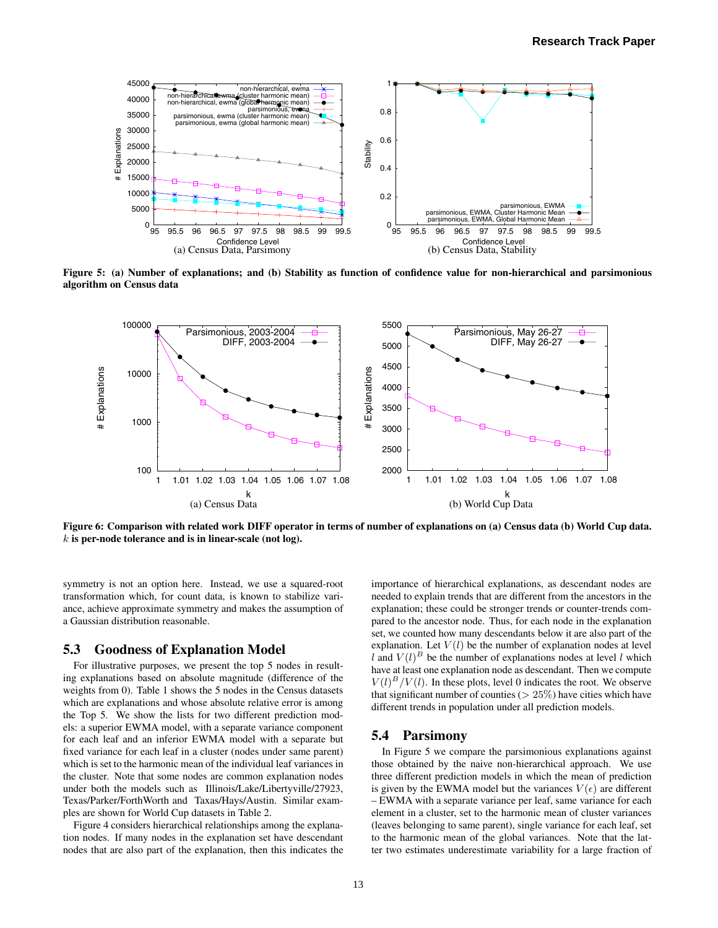

**Figure 5: (a) Number of explanations; and (b) Stability as function of confidence value for non-hierarchical and parsimonious algorithm on Census data**



**Figure 6: Comparison with related work DIFF operator in terms of number of explanations on (a) Census data (b) World Cup data.** k **is per-node tolerance and is in linear-scale (not log).**

symmetry is not an option here. Instead, we use a squared-root transformation which, for count data, is known to stabilize variance, achieve approximate symmetry and makes the assumption of a Gaussian distribution reasonable.

#### **5.3 Goodness of Explanation Model**

For illustrative purposes, we present the top 5 nodes in resulting explanations based on absolute magnitude (difference of the weights from 0). Table 1 shows the 5 nodes in the Census datasets which are explanations and whose absolute relative error is among the Top 5. We show the lists for two different prediction models: a superior EWMA model, with a separate variance component for each leaf and an inferior EWMA model with a separate but fixed variance for each leaf in a cluster (nodes under same parent) which is set to the harmonic mean of the individual leaf variances in the cluster. Note that some nodes are common explanation nodes under both the models such as Illinois/Lake/Libertyville/27923, Texas/Parker/ForthWorth and Taxas/Hays/Austin. Similar examples are shown for World Cup datasets in Table 2.

Figure 4 considers hierarchical relationships among the explanation nodes. If many nodes in the explanation set have descendant nodes that are also part of the explanation, then this indicates the importance of hierarchical explanations, as descendant nodes are needed to explain trends that are different from the ancestors in the explanation; these could be stronger trends or counter-trends compared to the ancestor node. Thus, for each node in the explanation set, we counted how many descendants below it are also part of the explanation. Let  $V(l)$  be the number of explanation nodes at level l and  $V(l)^B$  be the number of explanations nodes at level l which have at least one explanation node as descendant. Then we compute  $V(l)^{B}/V(l)$ . In these plots, level 0 indicates the root. We observe that significant number of counties ( $> 25\%$ ) have cities which have different trends in population under all prediction models.

#### **5.4 Parsimony**

In Figure 5 we compare the parsimonious explanations against those obtained by the naive non-hierarchical approach. We use three different prediction models in which the mean of prediction is given by the EWMA model but the variances  $V(\epsilon)$  are different – EWMA with a separate variance per leaf, same variance for each element in a cluster, set to the harmonic mean of cluster variances (leaves belonging to same parent), single variance for each leaf, set to the harmonic mean of the global variances. Note that the latter two estimates underestimate variability for a large fraction of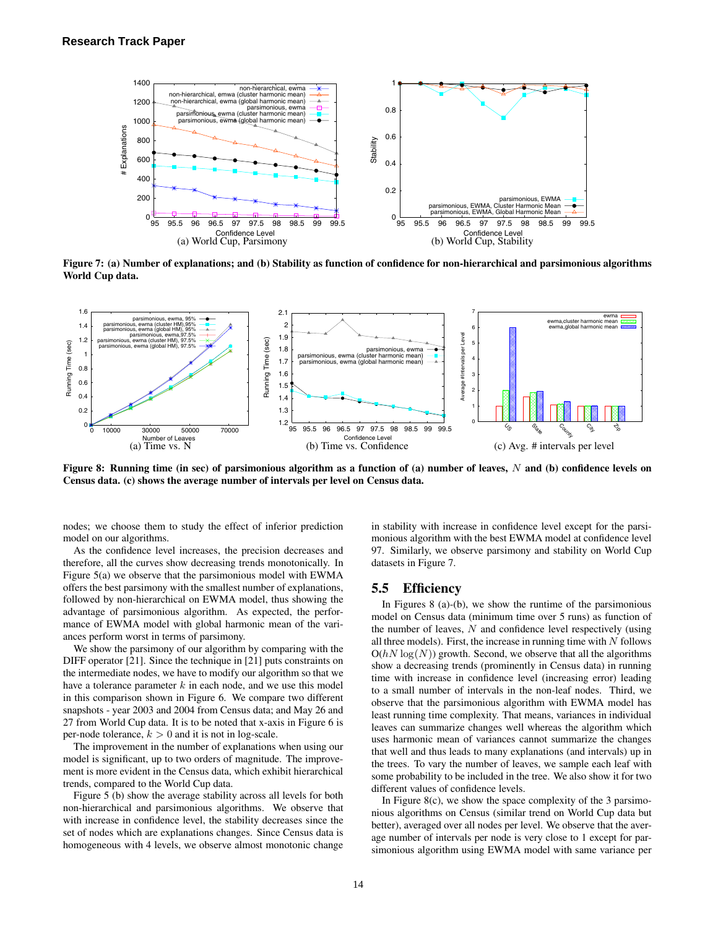

**Figure 7: (a) Number of explanations; and (b) Stability as function of confidence for non-hierarchical and parsimonious algorithms World Cup data.**



**Figure 8: Running time (in sec) of parsimonious algorithm as a function of (a) number of leaves,** N **and (b) confidence levels on Census data. (c) shows the average number of intervals per level on Census data.**

nodes; we choose them to study the effect of inferior prediction model on our algorithms.

As the confidence level increases, the precision decreases and therefore, all the curves show decreasing trends monotonically. In Figure 5(a) we observe that the parsimonious model with EWMA offers the best parsimony with the smallest number of explanations, followed by non-hierarchical on EWMA model, thus showing the advantage of parsimonious algorithm. As expected, the performance of EWMA model with global harmonic mean of the variances perform worst in terms of parsimony.

We show the parsimony of our algorithm by comparing with the DIFF operator [21]. Since the technique in [21] puts constraints on the intermediate nodes, we have to modify our algorithm so that we have a tolerance parameter  $k$  in each node, and we use this model in this comparison shown in Figure 6. We compare two different snapshots - year 2003 and 2004 from Census data; and May 26 and 27 from World Cup data. It is to be noted that x-axis in Figure 6 is per-node tolerance,  $k > 0$  and it is not in log-scale.

The improvement in the number of explanations when using our model is significant, up to two orders of magnitude. The improvement is more evident in the Census data, which exhibit hierarchical trends, compared to the World Cup data.

Figure 5 (b) show the average stability across all levels for both non-hierarchical and parsimonious algorithms. We observe that with increase in confidence level, the stability decreases since the set of nodes which are explanations changes. Since Census data is homogeneous with 4 levels, we observe almost monotonic change

in stability with increase in confidence level except for the parsimonious algorithm with the best EWMA model at confidence level 97. Similarly, we observe parsimony and stability on World Cup datasets in Figure 7.

#### **5.5 Efficiency**

In Figures 8 (a)-(b), we show the runtime of the parsimonious model on Census data (minimum time over 5 runs) as function of the number of leaves,  $N$  and confidence level respectively (using all three models). First, the increase in running time with  $N$  follows  $O(hN \log(N))$  growth. Second, we observe that all the algorithms show a decreasing trends (prominently in Census data) in running time with increase in confidence level (increasing error) leading to a small number of intervals in the non-leaf nodes. Third, we observe that the parsimonious algorithm with EWMA model has least running time complexity. That means, variances in individual leaves can summarize changes well whereas the algorithm which uses harmonic mean of variances cannot summarize the changes that well and thus leads to many explanations (and intervals) up in the trees. To vary the number of leaves, we sample each leaf with some probability to be included in the tree. We also show it for two different values of confidence levels.

In Figure 8 $(c)$ , we show the space complexity of the 3 parsimonious algorithms on Census (similar trend on World Cup data but better), averaged over all nodes per level. We observe that the average number of intervals per node is very close to 1 except for parsimonious algorithm using EWMA model with same variance per